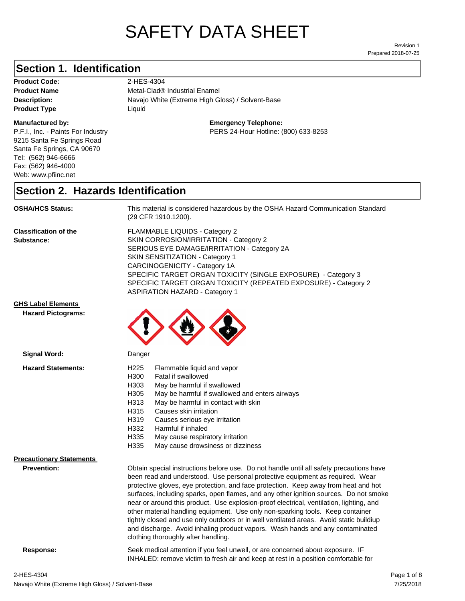# SAFETY DATA SHEET

Prepared 2018-07-25 Revision 1

## **Section 1. Identification**

Product Code: 2-HES-4304 **Product Type Liquid Liquid** 

#### **Manufactured by:**

P.F.I., Inc. - Paints For Industry 9215 Santa Fe Springs Road Santa Fe Springs, CA 90670 Tel: (562) 946-6666 Fax: (562) 946-4000 Web: www.pfiinc.net

**Description:** Navajo White (Extreme High Gloss) / Solvent-Base **Product Name** Metal-Clad® Industrial Enamel

#### **Emergency Telephone:**

PERS 24-Hour Hotline: (800) 633-8253

#### **Section 2. Hazards Identification**

**OSHA/HCS Status:** This material is considered hazardous by the OSHA Hazard Communication Standard (29 CFR 1910.1200).

**Classification of the Substance:**

FLAMMABLE LIQUIDS - Category 2 SKIN CORROSION/IRRITATION - Category 2 SERIOUS EYE DAMAGE/IRRITATION - Category 2A SKIN SENSITIZATION - Category 1 CARCINOGENICITY - Category 1A SPECIFIC TARGET ORGAN TOXICITY (SINGLE EXPOSURE) - Category 3 SPECIFIC TARGET ORGAN TOXICITY (REPEATED EXPOSURE) - Category 2 ASPIRATION HAZARD - Category 1

#### **GHS Label Elements**

**Signal Word:**

**Hazard Pictograms:**



| <b>Hazard Statements:</b>       | H <sub>225</sub><br>Flammable liquid and vapor<br>H300<br>Fatal if swallowed<br>H303<br>May be harmful if swallowed<br>H305<br>May be harmful if swallowed and enters airways<br>May be harmful in contact with skin<br>H313<br>H315<br>Causes skin irritation<br>H319<br>Causes serious eye irritation<br>H332<br>Harmful if inhaled<br>H335<br>May cause respiratory irritation<br>H335<br>May cause drowsiness or dizziness                                                                                                                                                                                                                                                                                                                           |  |
|---------------------------------|----------------------------------------------------------------------------------------------------------------------------------------------------------------------------------------------------------------------------------------------------------------------------------------------------------------------------------------------------------------------------------------------------------------------------------------------------------------------------------------------------------------------------------------------------------------------------------------------------------------------------------------------------------------------------------------------------------------------------------------------------------|--|
| <b>Precautionary Statements</b> |                                                                                                                                                                                                                                                                                                                                                                                                                                                                                                                                                                                                                                                                                                                                                          |  |
| <b>Prevention:</b>              | Obtain special instructions before use. Do not handle until all safety precautions have<br>been read and understood. Use personal protective equipment as required. Wear<br>protective gloves, eye protection, and face protection. Keep away from heat and hot<br>surfaces, including sparks, open flames, and any other ignition sources. Do not smoke<br>near or around this product. Use explosion-proof electrical, ventilation, lighting, and<br>other material handling equipment. Use only non-sparking tools. Keep container<br>tightly closed and use only outdoors or in well ventilated areas. Avoid static buildiup<br>and discharge. Avoid inhaling product vapors. Wash hands and any contaminated<br>clothing thoroughly after handling. |  |
| Response:                       | Seek medical attention if you feel unwell, or are concerned about exposure. IF<br>INHALED: remove victim to fresh air and keep at rest in a position comfortable for                                                                                                                                                                                                                                                                                                                                                                                                                                                                                                                                                                                     |  |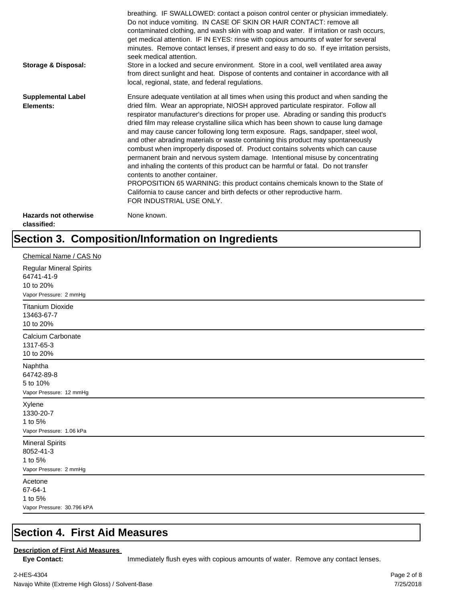| <b>Storage &amp; Disposal:</b>              | breathing. IF SWALLOWED: contact a poison control center or physician immediately.<br>Do not induce vomiting. IN CASE OF SKIN OR HAIR CONTACT: remove all<br>contaminated clothing, and wash skin with soap and water. If irritation or rash occurs,<br>get medical attention. IF IN EYES: rinse with copious amounts of water for several<br>minutes. Remove contact lenses, if present and easy to do so. If eye irritation persists,<br>seek medical attention.<br>Store in a locked and secure environment. Store in a cool, well ventilated area away<br>from direct sunlight and heat. Dispose of contents and container in accordance with all<br>local, regional, state, and federal regulations.                                                                                                                                                                                                                                                                                                                |
|---------------------------------------------|--------------------------------------------------------------------------------------------------------------------------------------------------------------------------------------------------------------------------------------------------------------------------------------------------------------------------------------------------------------------------------------------------------------------------------------------------------------------------------------------------------------------------------------------------------------------------------------------------------------------------------------------------------------------------------------------------------------------------------------------------------------------------------------------------------------------------------------------------------------------------------------------------------------------------------------------------------------------------------------------------------------------------|
| <b>Supplemental Label</b><br>Elements:      | Ensure adequate ventilation at all times when using this product and when sanding the<br>dried film. Wear an appropriate, NIOSH approved particulate respirator. Follow all<br>respirator manufacturer's directions for proper use. Abrading or sanding this product's<br>dried film may release crystalline silica which has been shown to cause lung damage<br>and may cause cancer following long term exposure. Rags, sandpaper, steel wool,<br>and other abrading materials or waste containing this product may spontaneously<br>combust when improperly disposed of. Product contains solvents which can cause<br>permanent brain and nervous system damage. Intentional misuse by concentrating<br>and inhaling the contents of this product can be harmful or fatal. Do not transfer<br>contents to another container.<br>PROPOSITION 65 WARNING: this product contains chemicals known to the State of<br>California to cause cancer and birth defects or other reproductive harm.<br>FOR INDUSTRIAL USE ONLY. |
| <b>Hazards not otherwise</b><br>classified: | None known.                                                                                                                                                                                                                                                                                                                                                                                                                                                                                                                                                                                                                                                                                                                                                                                                                                                                                                                                                                                                              |

## **Section 3. Composition/Information on Ingredients**

| Chemical Name / CAS No                                                              |
|-------------------------------------------------------------------------------------|
| <b>Regular Mineral Spirits</b><br>64741-41-9<br>10 to 20%<br>Vapor Pressure: 2 mmHg |
| <b>Titanium Dioxide</b><br>13463-67-7<br>10 to 20%                                  |
| Calcium Carbonate<br>1317-65-3<br>10 to 20%                                         |
| Naphtha<br>64742-89-8<br>5 to 10%<br>Vapor Pressure: 12 mmHg                        |
| Xylene<br>1330-20-7<br>1 to 5%<br>Vapor Pressure: 1.06 kPa                          |
| <b>Mineral Spirits</b><br>8052-41-3<br>1 to 5%<br>Vapor Pressure: 2 mmHg            |
| Acetone<br>67-64-1<br>1 to 5%<br>Vapor Pressure: 30.796 kPA                         |

#### **Section 4. First Aid Measures**

#### **Description of First Aid Measures**

Eye Contact: **IMMED** Immediately flush eyes with copious amounts of water. Remove any contact lenses.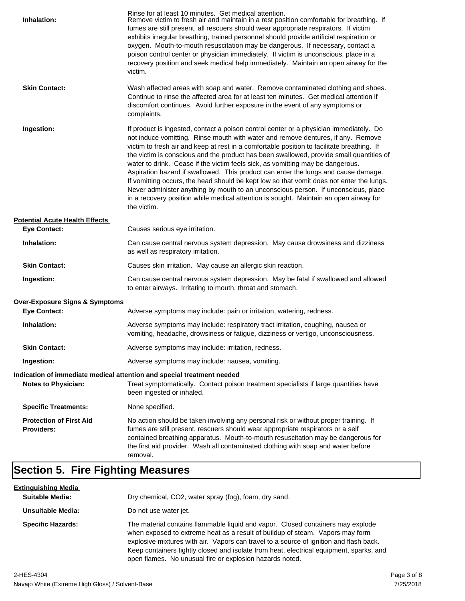| Inhalation:                                         | Rinse for at least 10 minutes. Get medical attention.<br>Remove victim to fresh air and maintain in a rest position comfortable for breathing. If<br>fumes are still present, all rescuers should wear appropriate respirators. If victim<br>exhibits irregular breathing, trained personnel should provide artificial respiration or<br>oxygen. Mouth-to-mouth resuscitation may be dangerous. If necessary, contact a<br>poison control center or physician immediately. If victim is unconscious, place in a<br>recovery position and seek medical help immediately. Maintain an open airway for the<br>victim.                                                                                                                                                                                                                    |
|-----------------------------------------------------|---------------------------------------------------------------------------------------------------------------------------------------------------------------------------------------------------------------------------------------------------------------------------------------------------------------------------------------------------------------------------------------------------------------------------------------------------------------------------------------------------------------------------------------------------------------------------------------------------------------------------------------------------------------------------------------------------------------------------------------------------------------------------------------------------------------------------------------|
| <b>Skin Contact:</b>                                | Wash affected areas with soap and water. Remove contaminated clothing and shoes.<br>Continue to rinse the affected area for at least ten minutes. Get medical attention if<br>discomfort continues. Avoid further exposure in the event of any symptoms or<br>complaints.                                                                                                                                                                                                                                                                                                                                                                                                                                                                                                                                                             |
| Ingestion:                                          | If product is ingested, contact a poison control center or a physician immediately. Do<br>not induce vomitting. Rinse mouth with water and remove dentures, if any. Remove<br>victim to fresh air and keep at rest in a comfortable position to facilitate breathing. If<br>the victim is conscious and the product has been swallowed, provide small quantities of<br>water to drink. Cease if the victim feels sick, as vomitting may be dangerous.<br>Aspiration hazard if swallowed. This product can enter the lungs and cause damage.<br>If vomitting occurs, the head should be kept low so that vomit does not enter the lungs.<br>Never administer anything by mouth to an unconscious person. If unconscious, place<br>in a recovery position while medical attention is sought. Maintain an open airway for<br>the victim. |
| <b>Potential Acute Health Effects</b>               |                                                                                                                                                                                                                                                                                                                                                                                                                                                                                                                                                                                                                                                                                                                                                                                                                                       |
| <b>Eye Contact:</b>                                 | Causes serious eye irritation.                                                                                                                                                                                                                                                                                                                                                                                                                                                                                                                                                                                                                                                                                                                                                                                                        |
| Inhalation:                                         | Can cause central nervous system depression. May cause drowsiness and dizziness<br>as well as respiratory irritation.                                                                                                                                                                                                                                                                                                                                                                                                                                                                                                                                                                                                                                                                                                                 |
| <b>Skin Contact:</b>                                | Causes skin irritation. May cause an allergic skin reaction.                                                                                                                                                                                                                                                                                                                                                                                                                                                                                                                                                                                                                                                                                                                                                                          |
| Ingestion:                                          | Can cause central nervous system depression. May be fatal if swallowed and allowed<br>to enter airways. Irritating to mouth, throat and stomach.                                                                                                                                                                                                                                                                                                                                                                                                                                                                                                                                                                                                                                                                                      |
| <b>Over-Exposure Signs &amp; Symptoms</b>           |                                                                                                                                                                                                                                                                                                                                                                                                                                                                                                                                                                                                                                                                                                                                                                                                                                       |
| <b>Eye Contact:</b>                                 | Adverse symptoms may include: pain or irritation, watering, redness.                                                                                                                                                                                                                                                                                                                                                                                                                                                                                                                                                                                                                                                                                                                                                                  |
| Inhalation:                                         | Adverse symptoms may include: respiratory tract irritation, coughing, nausea or<br>vomiting, headache, drowsiness or fatigue, dizziness or vertigo, unconsciousness.                                                                                                                                                                                                                                                                                                                                                                                                                                                                                                                                                                                                                                                                  |
| <b>Skin Contact:</b>                                | Adverse symptoms may include: irritation, redness.                                                                                                                                                                                                                                                                                                                                                                                                                                                                                                                                                                                                                                                                                                                                                                                    |
| Ingestion:                                          | Adverse symptoms may include: nausea, vomiting.                                                                                                                                                                                                                                                                                                                                                                                                                                                                                                                                                                                                                                                                                                                                                                                       |
|                                                     | Indication of immediate medical attention and special treatment needed                                                                                                                                                                                                                                                                                                                                                                                                                                                                                                                                                                                                                                                                                                                                                                |
| <b>Notes to Physician:</b>                          | Treat symptomatically. Contact poison treatment specialists if large quantities have<br>been ingested or inhaled.                                                                                                                                                                                                                                                                                                                                                                                                                                                                                                                                                                                                                                                                                                                     |
| <b>Specific Treatments:</b>                         | None specified.                                                                                                                                                                                                                                                                                                                                                                                                                                                                                                                                                                                                                                                                                                                                                                                                                       |
| <b>Protection of First Aid</b><br><b>Providers:</b> | No action should be taken involving any personal risk or without proper training. If<br>fumes are still present, rescuers should wear appropriate respirators or a self<br>contained breathing apparatus. Mouth-to-mouth resuscitation may be dangerous for<br>the first aid provider. Wash all contaminated clothing with soap and water before<br>removal.                                                                                                                                                                                                                                                                                                                                                                                                                                                                          |

## **Section 5. Fire Fighting Measures**

| <u>Extinquishing Media</u> |                                                                                                                                                                                                                                                                                                                                                                                                                   |
|----------------------------|-------------------------------------------------------------------------------------------------------------------------------------------------------------------------------------------------------------------------------------------------------------------------------------------------------------------------------------------------------------------------------------------------------------------|
| <b>Suitable Media:</b>     | Dry chemical, CO2, water spray (fog), foam, dry sand.                                                                                                                                                                                                                                                                                                                                                             |
| Unsuitable Media:          | Do not use water jet.                                                                                                                                                                                                                                                                                                                                                                                             |
| <b>Specific Hazards:</b>   | The material contains flammable liquid and vapor. Closed containers may explode<br>when exposed to extreme heat as a result of buildup of steam. Vapors may form<br>explosive mixtures with air. Vapors can travel to a source of ignition and flash back.<br>Keep containers tightly closed and isolate from heat, electrical equipment, sparks, and<br>open flames. No unusual fire or explosion hazards noted. |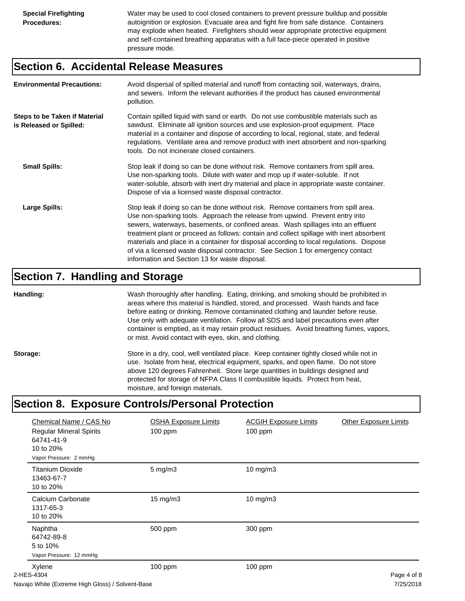Water may be used to cool closed containers to prevent pressure buildup and possible autoignition or explosion. Evacuate area and fight fire from safe distance. Containers may explode when heated. Firefighters should wear appropriate protective equipment and self-contained breathing apparatus with a full face-piece operated in positive pressure mode.

#### **Section 6. Accidental Release Measures**

| <b>Environmental Precautions:</b>                               | Avoid dispersal of spilled material and runoff from contacting soil, waterways, drains,<br>and sewers. Inform the relevant authorities if the product has caused environmental<br>pollution.                                                                                                                                                                                                                                                                                                                                                                                        |
|-----------------------------------------------------------------|-------------------------------------------------------------------------------------------------------------------------------------------------------------------------------------------------------------------------------------------------------------------------------------------------------------------------------------------------------------------------------------------------------------------------------------------------------------------------------------------------------------------------------------------------------------------------------------|
| <b>Steps to be Taken if Material</b><br>is Released or Spilled: | Contain spilled liquid with sand or earth. Do not use combustible materials such as<br>sawdust. Eliminate all ignition sources and use explosion-proof equipment. Place<br>material in a container and dispose of according to local, regional, state, and federal<br>regulations. Ventilate area and remove product with inert absorbent and non-sparking<br>tools. Do not incinerate closed containers.                                                                                                                                                                           |
| <b>Small Spills:</b>                                            | Stop leak if doing so can be done without risk. Remove containers from spill area.<br>Use non-sparking tools. Dilute with water and mop up if water-soluble. If not<br>water-soluble, absorb with inert dry material and place in appropriate waste container.<br>Dispose of via a licensed waste disposal contractor.                                                                                                                                                                                                                                                              |
| Large Spills:                                                   | Stop leak if doing so can be done without risk. Remove containers from spill area.<br>Use non-sparking tools. Approach the release from upwind. Prevent entry into<br>sewers, waterways, basements, or confined areas. Wash spillages into an effluent<br>treatment plant or proceed as follows: contain and collect spillage with inert absorbent<br>materials and place in a container for disposal according to local regulations. Dispose<br>of via a licensed waste disposal contractor. See Section 1 for emergency contact<br>information and Section 13 for waste disposal. |

#### **Section 7. Handling and Storage**

**Handling:** Wash thoroughly after handling. Eating, drinking, and smoking should be prohibited in areas where this material is handled, stored, and processed. Wash hands and face before eating or drinking. Remove contaminated clothing and launder before reuse. Use only with adequate ventilation. Follow all SDS and label precautions even after container is emptied, as it may retain product residues. Avoid breathing fumes, vapors, or mist. Avoid contact with eyes, skin, and clothing.

Storage: Store in a dry, cool, well ventilated place. Keep container tightly closed while not in use. Isolate from heat, electrical equipment, sparks, and open flame. Do not store above 120 degrees Fahrenheit. Store large quantities in buildings designed and protected for storage of NFPA Class II combustible liquids. Protect from heat, moisture, and foreign materials.

## **Section 8. Exposure Controls/Personal Protection**

| Chemical Name / CAS No<br><b>Regular Mineral Spirits</b><br>64741-41-9<br>10 to 20%<br>Vapor Pressure: 2 mmHg | <b>OSHA Exposure Limits</b><br>100 ppm | <b>ACGIH Exposure Limits</b><br>100 ppm | <b>Other Exposure Limits</b>    |
|---------------------------------------------------------------------------------------------------------------|----------------------------------------|-----------------------------------------|---------------------------------|
| <b>Titanium Dioxide</b><br>13463-67-7<br>10 to 20%                                                            | $5 \text{ mg/m}$ 3                     | $10$ mg/m $3$                           |                                 |
| Calcium Carbonate<br>1317-65-3<br>10 to 20%                                                                   | $15 \text{ mg/m}$                      | $10$ mg/m $3$                           |                                 |
| Naphtha<br>64742-89-8<br>5 to 10%<br>Vapor Pressure: 12 mmHg                                                  | 500 ppm                                | 300 ppm                                 |                                 |
| Xylene<br>2-HES-4304                                                                                          | 100 ppm                                | 100 ppm                                 | Page 4 of 8<br>$-10 - 100 - 10$ |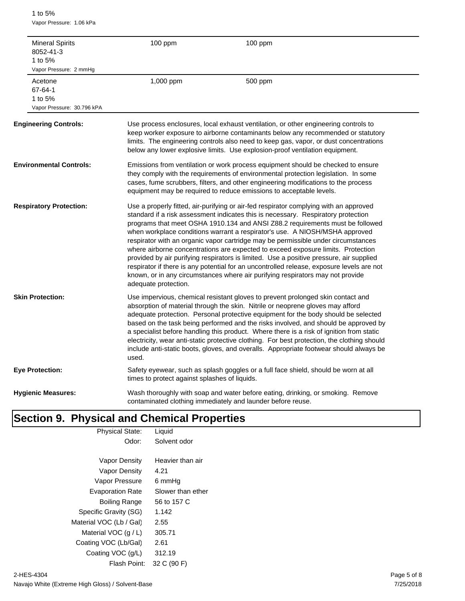1 to 5% Vapor Pressure: 1.06 kPa

| 1 to $5%$                     | <b>Mineral Spirits</b><br>8052-41-3<br>Vapor Pressure: 2 mmHq | 100 ppm                                       | 100 ppm                                                                                                                                                                                                                                                                                                                                                                                                                                                                                                                                                                                                                                                                                                                                                                                       |
|-------------------------------|---------------------------------------------------------------|-----------------------------------------------|-----------------------------------------------------------------------------------------------------------------------------------------------------------------------------------------------------------------------------------------------------------------------------------------------------------------------------------------------------------------------------------------------------------------------------------------------------------------------------------------------------------------------------------------------------------------------------------------------------------------------------------------------------------------------------------------------------------------------------------------------------------------------------------------------|
| Acetone<br>67-64-1<br>1 to 5% | Vapor Pressure: 30.796 kPA                                    | 1,000 ppm                                     | 500 ppm                                                                                                                                                                                                                                                                                                                                                                                                                                                                                                                                                                                                                                                                                                                                                                                       |
|                               | <b>Engineering Controls:</b>                                  |                                               | Use process enclosures, local exhaust ventilation, or other engineering controls to<br>keep worker exposure to airborne contaminants below any recommended or statutory<br>limits. The engineering controls also need to keep gas, vapor, or dust concentrations<br>below any lower explosive limits. Use explosion-proof ventilation equipment.                                                                                                                                                                                                                                                                                                                                                                                                                                              |
|                               | <b>Environmental Controls:</b>                                |                                               | Emissions from ventilation or work process equipment should be checked to ensure<br>they comply with the requirements of environmental protection legislation. In some<br>cases, fume scrubbers, filters, and other engineering modifications to the process<br>equipment may be required to reduce emissions to acceptable levels.                                                                                                                                                                                                                                                                                                                                                                                                                                                           |
|                               | <b>Respiratory Protection:</b>                                | adequate protection.                          | Use a properly fitted, air-purifying or air-fed respirator complying with an approved<br>standard if a risk assessment indicates this is necessary. Respiratory protection<br>programs that meet OSHA 1910.134 and ANSI Z88.2 requirements must be followed<br>when workplace conditions warrant a respirator's use. A NIOSH/MSHA approved<br>respirator with an organic vapor cartridge may be permissible under circumstances<br>where airborne concentrations are expected to exceed exposure limits. Protection<br>provided by air purifying respirators is limited. Use a positive pressure, air supplied<br>respirator if there is any potential for an uncontrolled release, exposure levels are not<br>known, or in any circumstances where air purifying respirators may not provide |
| <b>Skin Protection:</b>       |                                                               | used.                                         | Use impervious, chemical resistant gloves to prevent prolonged skin contact and<br>absorption of material through the skin. Nitrile or neoprene gloves may afford<br>adequate protection. Personal protective equipment for the body should be selected<br>based on the task being performed and the risks involved, and should be approved by<br>a specialist before handling this product. Where there is a risk of ignition from static<br>electricity, wear anti-static protective clothing. For best protection, the clothing should<br>include anti-static boots, gloves, and overalls. Appropriate footwear should always be                                                                                                                                                           |
| <b>Eye Protection:</b>        |                                                               | times to protect against splashes of liquids. | Safety eyewear, such as splash goggles or a full face shield, should be worn at all                                                                                                                                                                                                                                                                                                                                                                                                                                                                                                                                                                                                                                                                                                           |
|                               | <b>Hygienic Measures:</b>                                     |                                               | Wash thoroughly with soap and water before eating, drinking, or smoking. Remove<br>contaminated clothing immediately and launder before reuse.                                                                                                                                                                                                                                                                                                                                                                                                                                                                                                                                                                                                                                                |

## **Section 9. Physical and Chemical Properties**

| <b>Physical State:</b>  | Liquid            |  |
|-------------------------|-------------------|--|
| Odor:                   | Solvent odor      |  |
|                         |                   |  |
| Vapor Density           | Heavier than air  |  |
| Vapor Density           | 4.21              |  |
| Vapor Pressure          | 6 mmHq            |  |
| <b>Evaporation Rate</b> | Slower than ether |  |
| Boiling Range           | 56 to 157 C       |  |
| Specific Gravity (SG)   | 1.142             |  |
| Material VOC (Lb / Gal) | 2.55              |  |
| Material VOC $(q/L)$    | 305.71            |  |
| Coating VOC (Lb/Gal)    | 2.61              |  |
| Coating VOC (g/L)       | 312.19            |  |
| Flash Point:            | 32 C (90 F)       |  |
|                         |                   |  |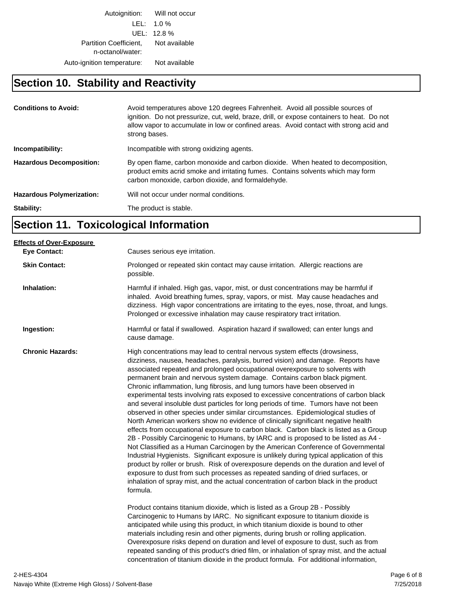Autoignition: Will not occur LEL: 1.0 % UEL: 12.8 % Partition Coefficient, Not available n-octanol/water: Auto-ignition temperature: Not available

#### **Section 10. Stability and Reactivity**

| <b>Conditions to Avoid:</b>      | Avoid temperatures above 120 degrees Fahrenheit. Avoid all possible sources of<br>ignition. Do not pressurize, cut, weld, braze, drill, or expose containers to heat. Do not<br>allow vapor to accumulate in low or confined areas. Avoid contact with strong acid and<br>strong bases. |
|----------------------------------|-----------------------------------------------------------------------------------------------------------------------------------------------------------------------------------------------------------------------------------------------------------------------------------------|
| Incompatibility:                 | Incompatible with strong oxidizing agents.                                                                                                                                                                                                                                              |
| <b>Hazardous Decomposition:</b>  | By open flame, carbon monoxide and carbon dioxide. When heated to decomposition,<br>product emits acrid smoke and irritating fumes. Contains solvents which may form<br>carbon monoxide, carbon dioxide, and formaldehyde.                                                              |
| <b>Hazardous Polymerization:</b> | Will not occur under normal conditions.                                                                                                                                                                                                                                                 |
| Stability:                       | The product is stable.                                                                                                                                                                                                                                                                  |

## **Section 11. Toxicological Information**

| Causes serious eye irritation.                                                                                                                                                                                                                                                                                                                                                                                                                                                                                                                                                                                                                                                                                                                                                                                                                                                                                                                                                                                                                                                                                                                                                                                                                                                                                                                                                                                                                                                                      |
|-----------------------------------------------------------------------------------------------------------------------------------------------------------------------------------------------------------------------------------------------------------------------------------------------------------------------------------------------------------------------------------------------------------------------------------------------------------------------------------------------------------------------------------------------------------------------------------------------------------------------------------------------------------------------------------------------------------------------------------------------------------------------------------------------------------------------------------------------------------------------------------------------------------------------------------------------------------------------------------------------------------------------------------------------------------------------------------------------------------------------------------------------------------------------------------------------------------------------------------------------------------------------------------------------------------------------------------------------------------------------------------------------------------------------------------------------------------------------------------------------------|
| Prolonged or repeated skin contact may cause irritation. Allergic reactions are<br>possible.                                                                                                                                                                                                                                                                                                                                                                                                                                                                                                                                                                                                                                                                                                                                                                                                                                                                                                                                                                                                                                                                                                                                                                                                                                                                                                                                                                                                        |
| Harmful if inhaled. High gas, vapor, mist, or dust concentrations may be harmful if<br>inhaled. Avoid breathing fumes, spray, vapors, or mist. May cause headaches and<br>dizziness. High vapor concentrations are irritating to the eyes, nose, throat, and lungs.<br>Prolonged or excessive inhalation may cause respiratory tract irritation.                                                                                                                                                                                                                                                                                                                                                                                                                                                                                                                                                                                                                                                                                                                                                                                                                                                                                                                                                                                                                                                                                                                                                    |
| Harmful or fatal if swallowed. Aspiration hazard if swallowed; can enter lungs and<br>cause damage.                                                                                                                                                                                                                                                                                                                                                                                                                                                                                                                                                                                                                                                                                                                                                                                                                                                                                                                                                                                                                                                                                                                                                                                                                                                                                                                                                                                                 |
| High concentrations may lead to central nervous system effects (drowsiness,<br>dizziness, nausea, headaches, paralysis, burred vision) and damage. Reports have<br>associated repeated and prolonged occupational overexposure to solvents with<br>permanent brain and nervous system damage. Contains carbon black pigment.<br>Chronic inflammation, lung fibrosis, and lung tumors have been observed in<br>experimental tests involving rats exposed to excessive concentrations of carbon black<br>and several insoluble dust particles for long periods of time. Tumors have not been<br>observed in other species under similar circumstances. Epidemiological studies of<br>North American workers show no evidence of clinically significant negative health<br>effects from occupational exposure to carbon black. Carbon black is listed as a Group<br>2B - Possibly Carcinogenic to Humans, by IARC and is proposed to be listed as A4 -<br>Not Classified as a Human Carcinogen by the American Conference of Governmental<br>Industrial Hygienists. Significant exposure is unlikely during typical application of this<br>product by roller or brush. Risk of overexposure depends on the duration and level of<br>exposure to dust from such processes as repeated sanding of dried surfaces, or<br>inhalation of spray mist, and the actual concentration of carbon black in the product<br>formula.<br>Product contains titanium dioxide, which is listed as a Group 2B - Possibly |
| Carcinogenic to Humans by IARC. No significant exposure to titanium dioxide is<br>anticipated while using this product, in which titanium dioxide is bound to other<br>materials including resin and other pigments, during brush or rolling application.<br>Overexposure risks depend on duration and level of exposure to dust, such as from<br>repeated sanding of this product's dried film, or inhalation of spray mist, and the actual<br>concentration of titanium dioxide in the product formula. For additional information,                                                                                                                                                                                                                                                                                                                                                                                                                                                                                                                                                                                                                                                                                                                                                                                                                                                                                                                                                               |
|                                                                                                                                                                                                                                                                                                                                                                                                                                                                                                                                                                                                                                                                                                                                                                                                                                                                                                                                                                                                                                                                                                                                                                                                                                                                                                                                                                                                                                                                                                     |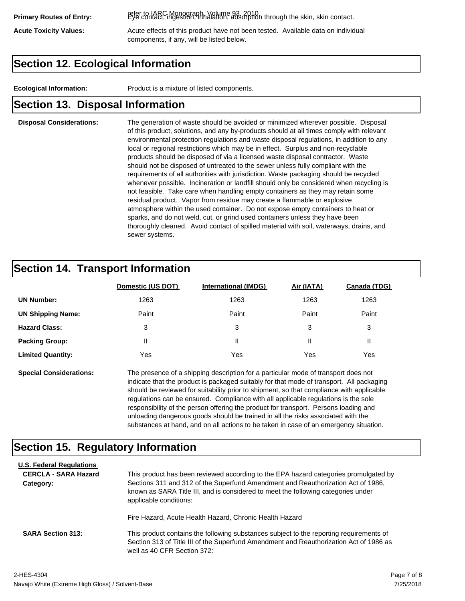refer to IARC Monograph, Volume 93, 2010. **Primary Routes of Entry:** Eye contact, ingestion, inhalation, absorption through the skin, skin contact.

Acute Toxicity Values: **Acute effects of this product have not been tested.** Available data on individual components, if any, will be listed below.

## **Section 12. Ecological Information**

**Ecological Information:** Product is a mixture of listed components.

#### **Section 13. Disposal Information**

#### **Disposal Considerations:** The generation of waste should be avoided or minimized wherever possible. Disposal of this product, solutions, and any by-products should at all times comply with relevant environmental protection regulations and waste disposal regulations, in addition to any local or regional restrictions which may be in effect. Surplus and non-recyclable products should be disposed of via a licensed waste disposal contractor. Waste should not be disposed of untreated to the sewer unless fully compliant with the requirements of all authorities with jurisdiction. Waste packaging should be recycled whenever possible. Incineration or landfill should only be considered when recycling is not feasible. Take care when handling empty containers as they may retain some residual product. Vapor from residue may create a flammable or explosive atmosphere within the used container. Do not expose empty containers to heat or sparks, and do not weld, cut, or grind used containers unless they have been thoroughly cleaned. Avoid contact of spilled material with soil, waterways, drains, and sewer systems.

### **Section 14. Transport Information**

|                          | Domestic (US DOT) | <b>International (IMDG)</b> | Air (IATA) | Canada (TDG) |
|--------------------------|-------------------|-----------------------------|------------|--------------|
| <b>UN Number:</b>        | 1263              | 1263                        | 1263       | 1263         |
| <b>UN Shipping Name:</b> | Paint             | Paint                       | Paint      | Paint        |
| <b>Hazard Class:</b>     | 3                 | 3                           | 3          | 3            |
| <b>Packing Group:</b>    | Ш                 | Ш                           |            |              |
| <b>Limited Quantity:</b> | Yes               | Yes                         | Yes        | Yes          |

**Special Considerations:** The presence of a shipping description for a particular mode of transport does not indicate that the product is packaged suitably for that mode of transport. All packaging should be reviewed for suitability prior to shipment, so that compliance with applicable regulations can be ensured. Compliance with all applicable regulations is the sole responsibility of the person offering the product for transport. Persons loading and unloading dangerous goods should be trained in all the risks associated with the substances at hand, and on all actions to be taken in case of an emergency situation.

#### **Section 15. Regulatory Information**

| <b>U.S. Federal Regulations</b><br><b>CERCLA - SARA Hazard</b><br>Category: | This product has been reviewed according to the EPA hazard categories promulgated by<br>Sections 311 and 312 of the Superfund Amendment and Reauthorization Act of 1986,<br>known as SARA Title III, and is considered to meet the following categories under<br>applicable conditions: |
|-----------------------------------------------------------------------------|-----------------------------------------------------------------------------------------------------------------------------------------------------------------------------------------------------------------------------------------------------------------------------------------|
| <b>SARA Section 313:</b>                                                    | Fire Hazard, Acute Health Hazard, Chronic Health Hazard<br>This product contains the following substances subject to the reporting requirements of                                                                                                                                      |
|                                                                             | Section 313 of Title III of the Superfund Amendment and Reauthorization Act of 1986 as<br>well as 40 CFR Section 372:                                                                                                                                                                   |